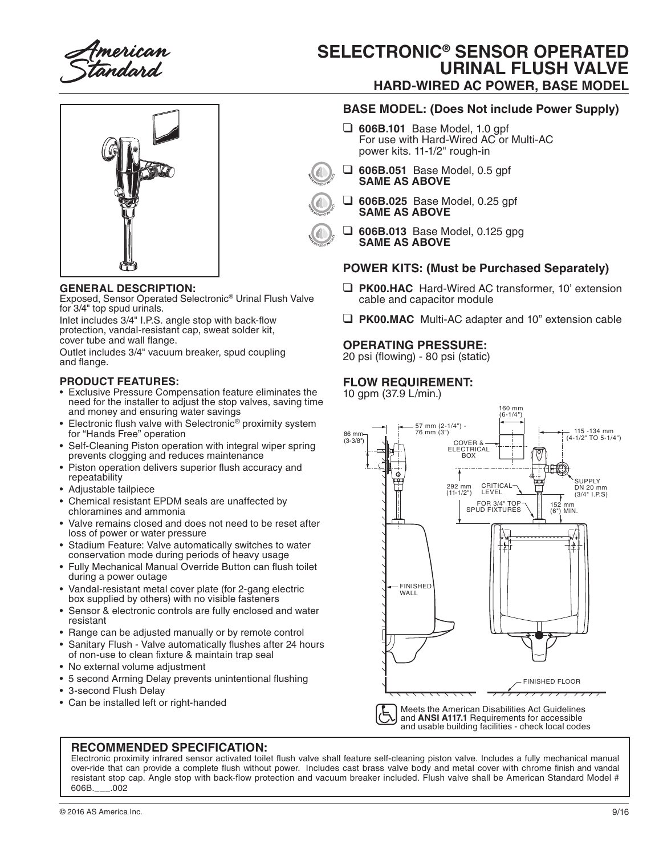merican tandard

# **SELECTRONIC® SENSOR OPERATED URINAL FLUSH VALVE HARD-WIRED AC POWER, BASE MODEL**



### **GENERAL DESCRIPTION:**

Exposed, Sensor Operated Selectronic® Urinal Flush Valve for 3/4" top spud urinals.

Inlet includes 3/4" I.P.S. angle stop with back-flow protection, vandal-resistant cap, sweat solder kit, cover tube and wall flange.

Outlet includes 3/4" vacuum breaker, spud coupling and flange.

### **PRODUCT FEATURES:**

- Exclusive Pressure Compensation feature eliminates the need for the installer to adjust the stop valves, saving time and money and ensuring water savings
- Electronic flush valve with Selectronic<sup>®</sup> proximity system for "Hands Free" operation
- Self-Cleaning Piston operation with integral wiper spring prevents clogging and reduces maintenance
- Piston operation delivers superior flush accuracy and repeatability
- Adjustable tailpiece
- Chemical resistant EPDM seals are unaffected by chloramines and ammonia
- Valve remains closed and does not need to be reset after loss of power or water pressure
- Stadium Feature: Valve automatically switches to water conservation mode during periods of heavy usage
- Fully Mechanical Manual Override Button can flush toilet during a power outage
- Vandal-resistant metal cover plate (for 2-gang electric box supplied by others) with no visible fasteners
- Sensor & electronic controls are fully enclosed and water resistant
- Range can be adjusted manually or by remote control
- Sanitary Flush Valve automatically flushes after 24 hours of non-use to clean fixture & maintain trap seal
- No external volume adjustment
- 5 second Arming Delay prevents unintentional flushing
- 3-second Flush Delay
- 

## **BASE MODEL: (Does Not include Power Supply)**

- ❑ **606B.101** Base Model, 1.0 gpf For use with Hard-Wired AC or Multi-AC power kits. 11-1/2" rough-in
- ❑ **606B.051** Base Model, 0.5 gpf **SAME AS ABOVE**
	- ❑ **606B.025** Base Model, 0.25 gpf **SAME AS ABOVE**
- 

❑ **606B.013** Base Model, 0.125 gpg **SAME AS ABOVE**

### **POWER KITS: (Must be Purchased Separately)**

- ❑ **PK00.HAC** Hard-Wired AC transformer, 10' extension cable and capacitor module
- ❑ **PK00.MAC** Multi-AC adapter and 10" extension cable

#### **OPERATING PRESSURE:**

20 psi (flowing) - 80 psi (static)

## **FLOW REQUIREMENT:**

10 gpm (37.9 L/min.)



and **ANSI A117.1** Requirements for accessible and usable building facilities - check local codes

#### **RECOMMENDED SPECIFICATION:**

Electronic proximity infrared sensor activated toilet flush valve shall feature self-cleaning piston valve. Includes a fully mechanical manual over-ride that can provide a complete flush without power. Includes cast brass valve body and metal cover with chrome finish and vandal resistant stop cap. Angle stop with back-flow protection and vacuum breaker included. Flush valve shall be American Standard Model # 606B.\_\_\_.002